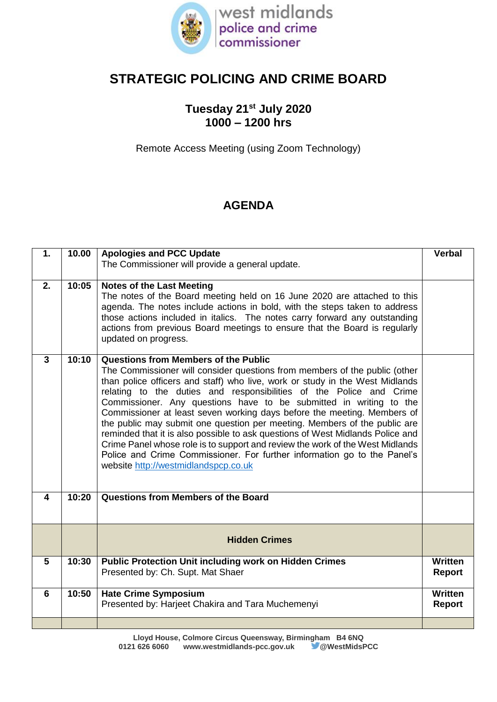

## **STRATEGIC POLICING AND CRIME BOARD**

## **Tuesday 21st July 2020 1000 – 1200 hrs**

Remote Access Meeting (using Zoom Technology)

## **AGENDA**

| 1.                      | 10.00 | <b>Apologies and PCC Update</b><br>The Commissioner will provide a general update.                                                                                                                                                                                                                                                                                                                                                                                                                                                                                                                                                                                                                                                                                                             | <b>Verbal</b>                   |
|-------------------------|-------|------------------------------------------------------------------------------------------------------------------------------------------------------------------------------------------------------------------------------------------------------------------------------------------------------------------------------------------------------------------------------------------------------------------------------------------------------------------------------------------------------------------------------------------------------------------------------------------------------------------------------------------------------------------------------------------------------------------------------------------------------------------------------------------------|---------------------------------|
| 2.                      | 10:05 | <b>Notes of the Last Meeting</b><br>The notes of the Board meeting held on 16 June 2020 are attached to this<br>agenda. The notes include actions in bold, with the steps taken to address<br>those actions included in italics. The notes carry forward any outstanding<br>actions from previous Board meetings to ensure that the Board is regularly<br>updated on progress.                                                                                                                                                                                                                                                                                                                                                                                                                 |                                 |
| 3                       | 10:10 | Questions from Members of the Public<br>The Commissioner will consider questions from members of the public (other<br>than police officers and staff) who live, work or study in the West Midlands<br>relating to the duties and responsibilities of the Police and Crime<br>Commissioner. Any questions have to be submitted in writing to the<br>Commissioner at least seven working days before the meeting. Members of<br>the public may submit one question per meeting. Members of the public are<br>reminded that it is also possible to ask questions of West Midlands Police and<br>Crime Panel whose role is to support and review the work of the West Midlands<br>Police and Crime Commissioner. For further information go to the Panel's<br>website http://westmidlandspcp.co.uk |                                 |
| $\overline{\mathbf{4}}$ | 10:20 | Questions from Members of the Board                                                                                                                                                                                                                                                                                                                                                                                                                                                                                                                                                                                                                                                                                                                                                            |                                 |
|                         |       | <b>Hidden Crimes</b>                                                                                                                                                                                                                                                                                                                                                                                                                                                                                                                                                                                                                                                                                                                                                                           |                                 |
| 5                       | 10:30 | <b>Public Protection Unit including work on Hidden Crimes</b><br>Presented by: Ch. Supt. Mat Shaer                                                                                                                                                                                                                                                                                                                                                                                                                                                                                                                                                                                                                                                                                             | Written<br>Report               |
| 6                       | 10:50 | <b>Hate Crime Symposium</b><br>Presented by: Harjeet Chakira and Tara Muchemenyi                                                                                                                                                                                                                                                                                                                                                                                                                                                                                                                                                                                                                                                                                                               | <b>Written</b><br><b>Report</b> |
|                         |       |                                                                                                                                                                                                                                                                                                                                                                                                                                                                                                                                                                                                                                                                                                                                                                                                |                                 |